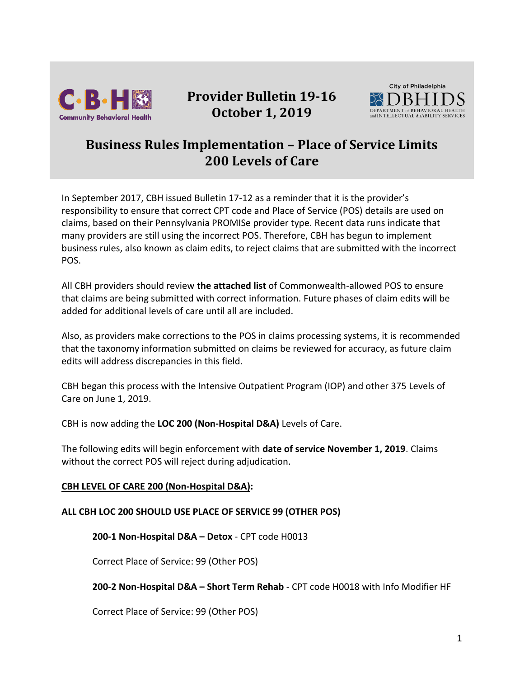

# **Provider Bulletin 19-16 October 1, 2019**



# **Business Rules Implementation – Place of Service Limits 200 Levels of Care**

In September 2017, CBH issued Bulletin 17-12 as a reminder that it is the provider's responsibility to ensure that correct CPT code and Place of Service (POS) details are used on claims, based on their Pennsylvania PROMISe provider type. Recent data runs indicate that many providers are still using the incorrect POS. Therefore, CBH has begun to implement business rules, also known as claim edits, to reject claims that are submitted with the incorrect POS.

All CBH providers should review **the attached list** of Commonwealth-allowed POS to ensure that claims are being submitted with correct information. Future phases of claim edits will be added for additional levels of care until all are included.

Also, as providers make corrections to the POS in claims processing systems, it is recommended that the taxonomy information submitted on claims be reviewed for accuracy, as future claim edits will address discrepancies in this field.

CBH began this process with the Intensive Outpatient Program (IOP) and other 375 Levels of Care on June 1, 2019.

CBH is now adding the **LOC 200 (Non-Hospital D&A)** Levels of Care.

The following edits will begin enforcement with **date of service November 1, 2019**. Claims without the correct POS will reject during adjudication.

## **CBH LEVEL OF CARE 200 (Non-Hospital D&A):**

## **ALL CBH LOC 200 SHOULD USE PLACE OF SERVICE 99 (OTHER POS)**

**200-1 Non-Hospital D&A – Detox** - CPT code H0013

Correct Place of Service: 99 (Other POS)

#### **200-2 Non-Hospital D&A – Short Term Rehab** - CPT code H0018 with Info Modifier HF

Correct Place of Service: 99 (Other POS)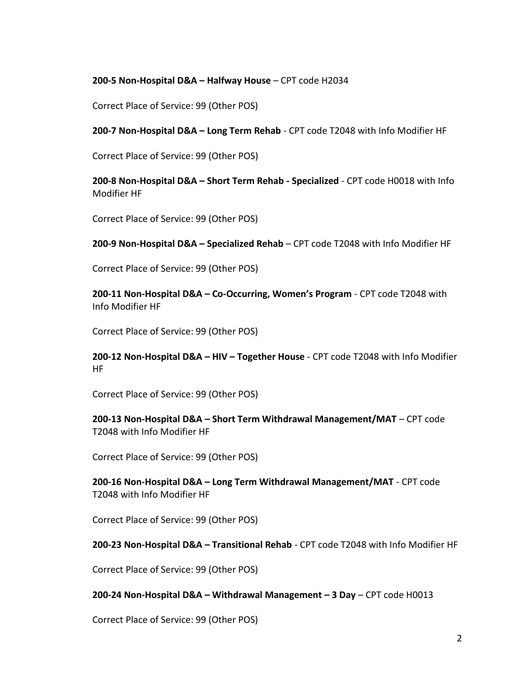#### **200-5 Non-Hospital D&A – Halfway House** – CPT code H2034

Correct Place of Service: 99 (Other POS)

**200-7 Non-Hospital D&A – Long Term Rehab** - CPT code T2048 with Info Modifier HF

Correct Place of Service: 99 (Other POS)

**200-8 Non-Hospital D&A – Short Term Rehab - Specialized** - CPT code H0018 with Info Modifier HF

Correct Place of Service: 99 (Other POS)

**200-9 Non-Hospital D&A – Specialized Rehab** – CPT code T2048 with Info Modifier HF

Correct Place of Service: 99 (Other POS)

**200-11 Non-Hospital D&A – Co-Occurring, Women's Program** - CPT code T2048 with Info Modifier HF

Correct Place of Service: 99 (Other POS)

**200-12 Non-Hospital D&A – HIV – Together House** - CPT code T2048 with Info Modifier HF

Correct Place of Service: 99 (Other POS)

**200-13 Non-Hospital D&A – Short Term Withdrawal Management/MAT** – CPT code T2048 with Info Modifier HF

Correct Place of Service: 99 (Other POS)

**200-16 Non-Hospital D&A – Long Term Withdrawal Management/MAT** - CPT code T2048 with Info Modifier HF

Correct Place of Service: 99 (Other POS)

**200-23 Non-Hospital D&A – Transitional Rehab** - CPT code T2048 with Info Modifier HF

Correct Place of Service: 99 (Other POS)

**200-24 Non-Hospital D&A – Withdrawal Management – 3 Day** – CPT code H0013

Correct Place of Service: 99 (Other POS)